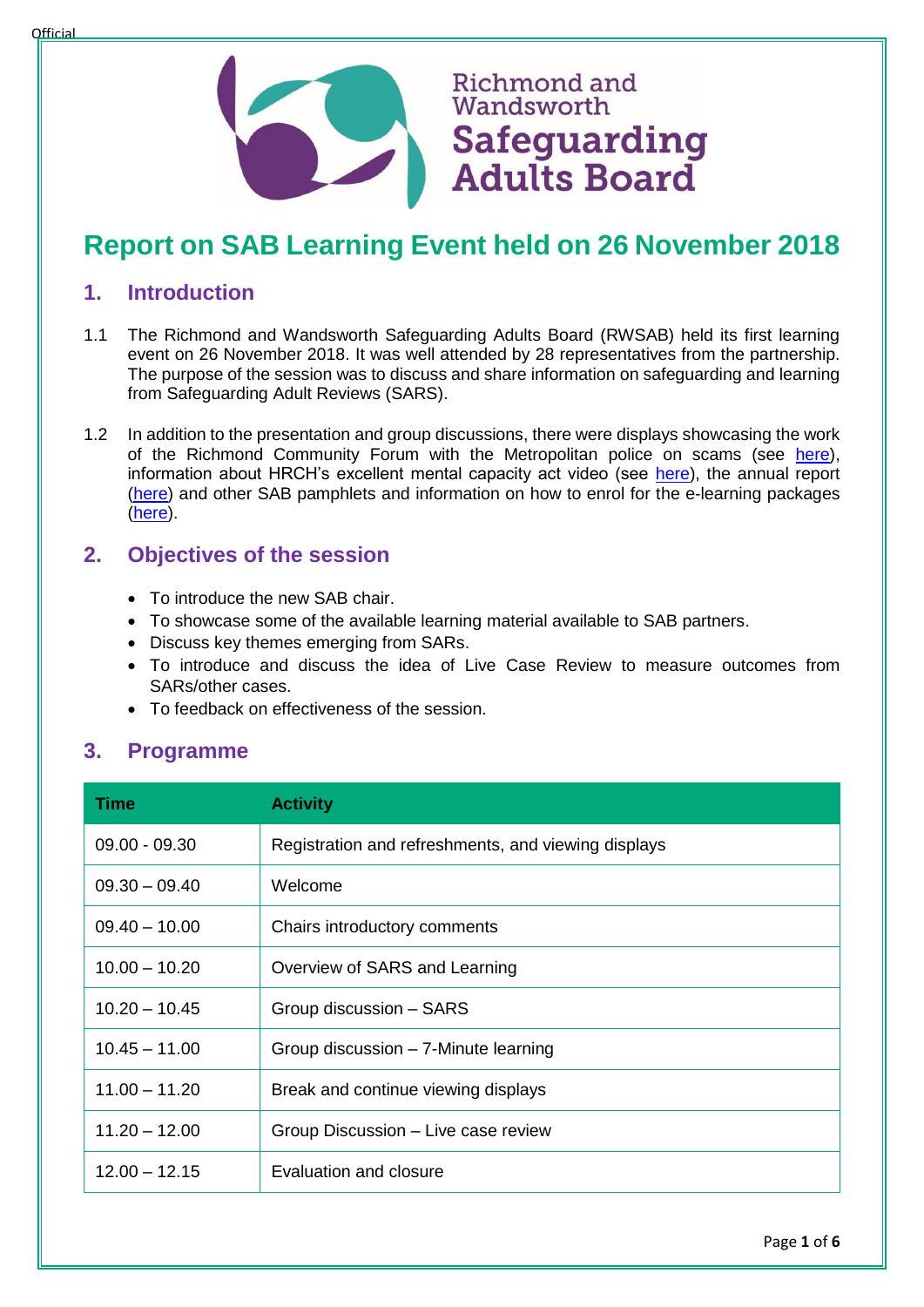



# **Report on SAB Learning Event held on 26 November 2018**

Richmond and Wandsworth

Safeguarding

**Adults Board** 

### **1. Introduction**

- 1.1 The Richmond and Wandsworth Safeguarding Adults Board (RWSAB) held its first learning event on 26 November 2018. It was well attended by 28 representatives from the partnership. The purpose of the session was to discuss and share information on safeguarding and learning from Safeguarding Adult Reviews (SARS).
- 1.2 In addition to the presentation and group discussions, there were displays showcasing the work of the Richmond Community Forum with the Metropolitan police on scams (see [here\)](https://www.youtube.com/embed/DJsPo_Yzl7M), information about HRCH's excellent mental capacity act video (see [here\)](https://www.youtube.com/embed/yglaLGl3Rxw), the annual report [\(here\)](https://www.richmond.gov.uk/council/how_we_work/partnerships/sab/safeguarding_adults_board_resources) and other SAB pamphlets and information on how to enrol for the e-learning packages [\(here\)](https://www.richmond.gov.uk/council/how_we_work/partnerships/sab/about_the_safeguarding_adults_board).

# **2. Objectives of the session**

- To introduce the new SAB chair.
- To showcase some of the available learning material available to SAB partners.
- Discuss key themes emerging from SARs.
- To introduce and discuss the idea of Live Case Review to measure outcomes from SARs/other cases.
- To feedback on effectiveness of the session.

# **3. Programme**

| <b>Time</b>     | <b>Activity</b>                                     |
|-----------------|-----------------------------------------------------|
| $09.00 - 09.30$ | Registration and refreshments, and viewing displays |
| $09.30 - 09.40$ | Welcome                                             |
| $09.40 - 10.00$ | Chairs introductory comments                        |
| $10.00 - 10.20$ | Overview of SARS and Learning                       |
| $10.20 - 10.45$ | Group discussion - SARS                             |
| $10.45 - 11.00$ | Group discussion - 7-Minute learning                |
| $11.00 - 11.20$ | Break and continue viewing displays                 |
| $11.20 - 12.00$ | Group Discussion - Live case review                 |
| $12.00 - 12.15$ | Evaluation and closure                              |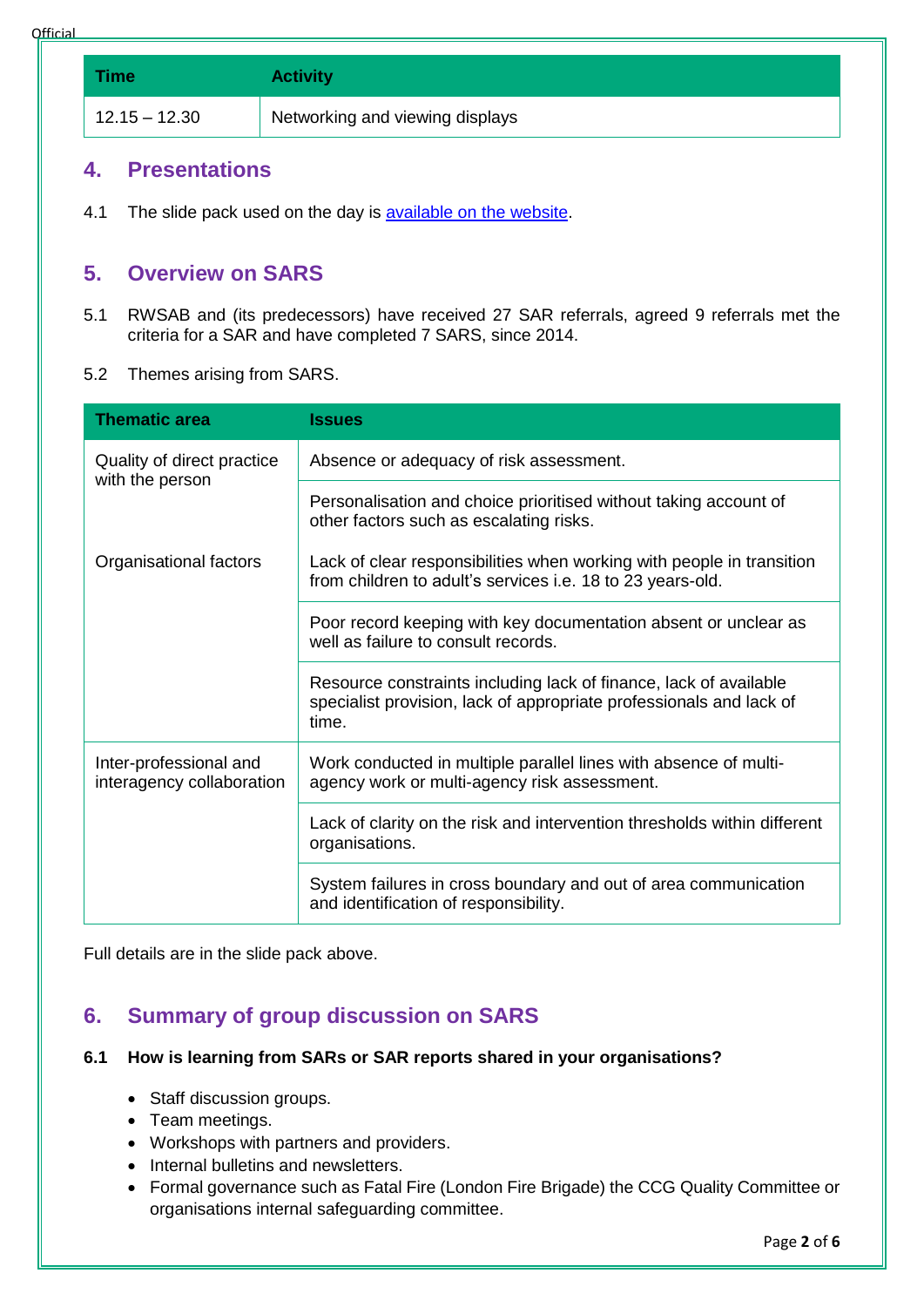**Official** 

**Time Activity** 12.15 – 12.30 Networking and viewing displays

# **4. Presentations**

4.1 The slide pack used on the day is [available on the website.](https://www.richmond.gov.uk/media/16587/sab_learning_review_november_2018.pdf)

# **5. Overview on SARS**

- 5.1 RWSAB and (its predecessors) have received 27 SAR referrals, agreed 9 referrals met the criteria for a SAR and have completed 7 SARS, since 2014.
- 5.2 Themes arising from SARS.

| <b>Thematic area</b>                                | <b>Issues</b>                                                                                                                                     |
|-----------------------------------------------------|---------------------------------------------------------------------------------------------------------------------------------------------------|
| Quality of direct practice<br>with the person       | Absence or adequacy of risk assessment.                                                                                                           |
|                                                     | Personalisation and choice prioritised without taking account of<br>other factors such as escalating risks.                                       |
| Organisational factors                              | Lack of clear responsibilities when working with people in transition<br>from children to adult's services i.e. 18 to 23 years-old.               |
|                                                     | Poor record keeping with key documentation absent or unclear as<br>well as failure to consult records.                                            |
|                                                     | Resource constraints including lack of finance, lack of available<br>specialist provision, lack of appropriate professionals and lack of<br>time. |
| Inter-professional and<br>interagency collaboration | Work conducted in multiple parallel lines with absence of multi-<br>agency work or multi-agency risk assessment.                                  |
|                                                     | Lack of clarity on the risk and intervention thresholds within different<br>organisations.                                                        |
|                                                     | System failures in cross boundary and out of area communication<br>and identification of responsibility.                                          |

Full details are in the slide pack above.

# **6. Summary of group discussion on SARS**

#### **6.1 How is learning from SARs or SAR reports shared in your organisations?**

- Staff discussion groups.
- Team meetings.
- Workshops with partners and providers.
- Internal bulletins and newsletters.
- Formal governance such as Fatal Fire (London Fire Brigade) the CCG Quality Committee or organisations internal safeguarding committee.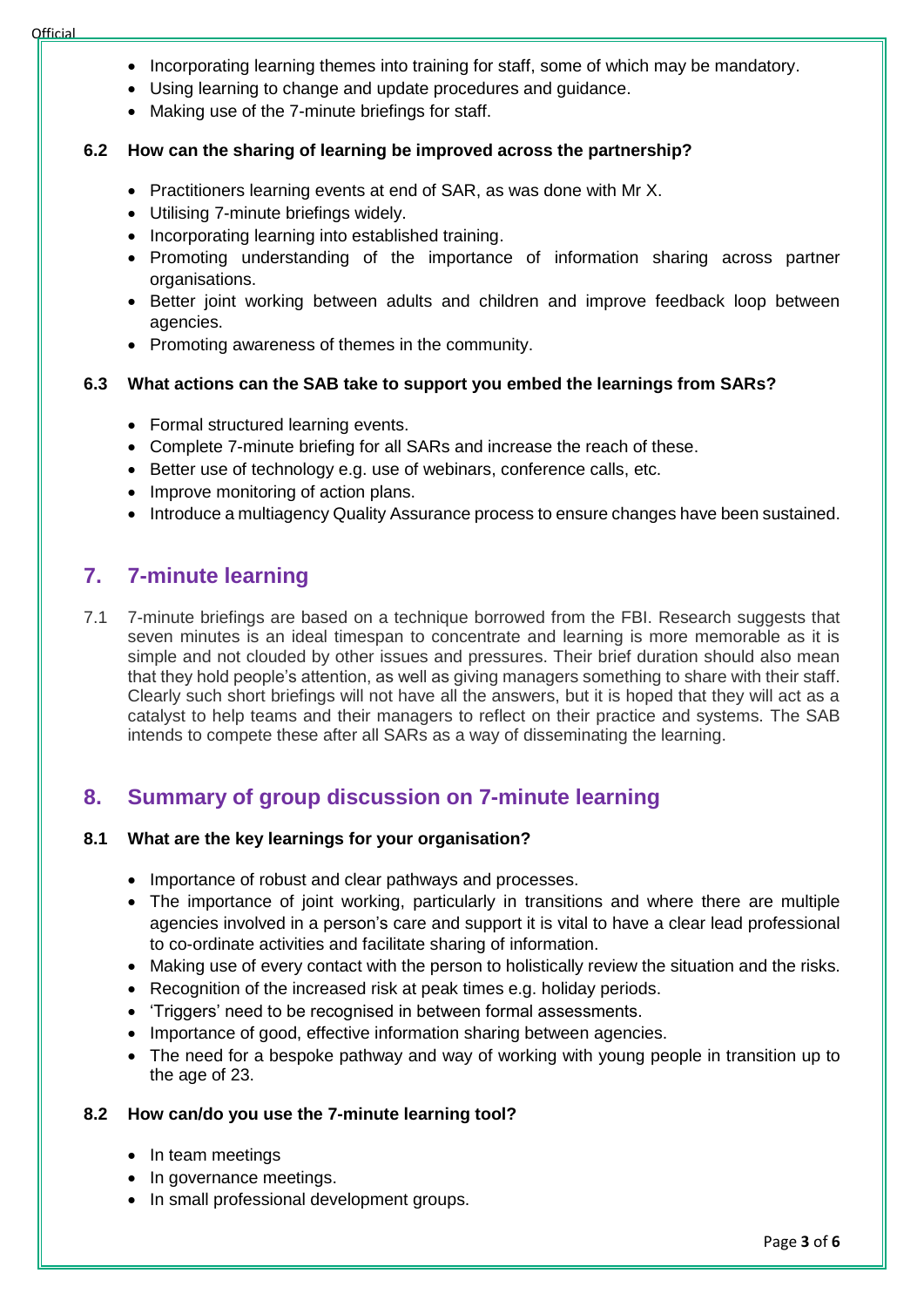- Incorporating learning themes into training for staff, some of which may be mandatory.
- Using learning to change and update procedures and guidance.
- Making use of the 7-minute briefings for staff.

#### **6.2 How can the sharing of learning be improved across the partnership?**

- Practitioners learning events at end of SAR, as was done with Mr X.
- Utilising 7-minute briefings widely.
- Incorporating learning into established training.
- Promoting understanding of the importance of information sharing across partner organisations.
- Better joint working between adults and children and improve feedback loop between agencies.
- Promoting awareness of themes in the community.

#### **6.3 What actions can the SAB take to support you embed the learnings from SARs?**

- Formal structured learning events.
- Complete 7-minute briefing for all SARs and increase the reach of these.
- Better use of technology e.g. use of webinars, conference calls, etc.
- Improve monitoring of action plans.
- Introduce a multiagency Quality Assurance process to ensure changes have been sustained.

# **7. 7-minute learning**

7.1 7-minute briefings are based on a technique borrowed from the FBI. Research suggests that seven minutes is an ideal timespan to concentrate and learning is more memorable as it is simple and not clouded by other issues and pressures. Their brief duration should also mean that they hold people's attention, as well as giving managers something to share with their staff. Clearly such short briefings will not have all the answers, but it is hoped that they will act as a catalyst to help teams and their managers to reflect on their practice and systems. The SAB intends to compete these after all SARs as a way of disseminating the learning.

# **8. Summary of group discussion on 7-minute learning**

#### **8.1 What are the key learnings for your organisation?**

- Importance of robust and clear pathways and processes.
- The importance of joint working, particularly in transitions and where there are multiple agencies involved in a person's care and support it is vital to have a clear lead professional to co-ordinate activities and facilitate sharing of information.
- Making use of every contact with the person to holistically review the situation and the risks.
- Recognition of the increased risk at peak times e.g. holiday periods.
- 'Triggers' need to be recognised in between formal assessments.
- Importance of good, effective information sharing between agencies.
- The need for a bespoke pathway and way of working with young people in transition up to the age of 23.

#### **8.2 How can/do you use the 7-minute learning tool?**

- In team meetings
- In governance meetings.
- In small professional development groups.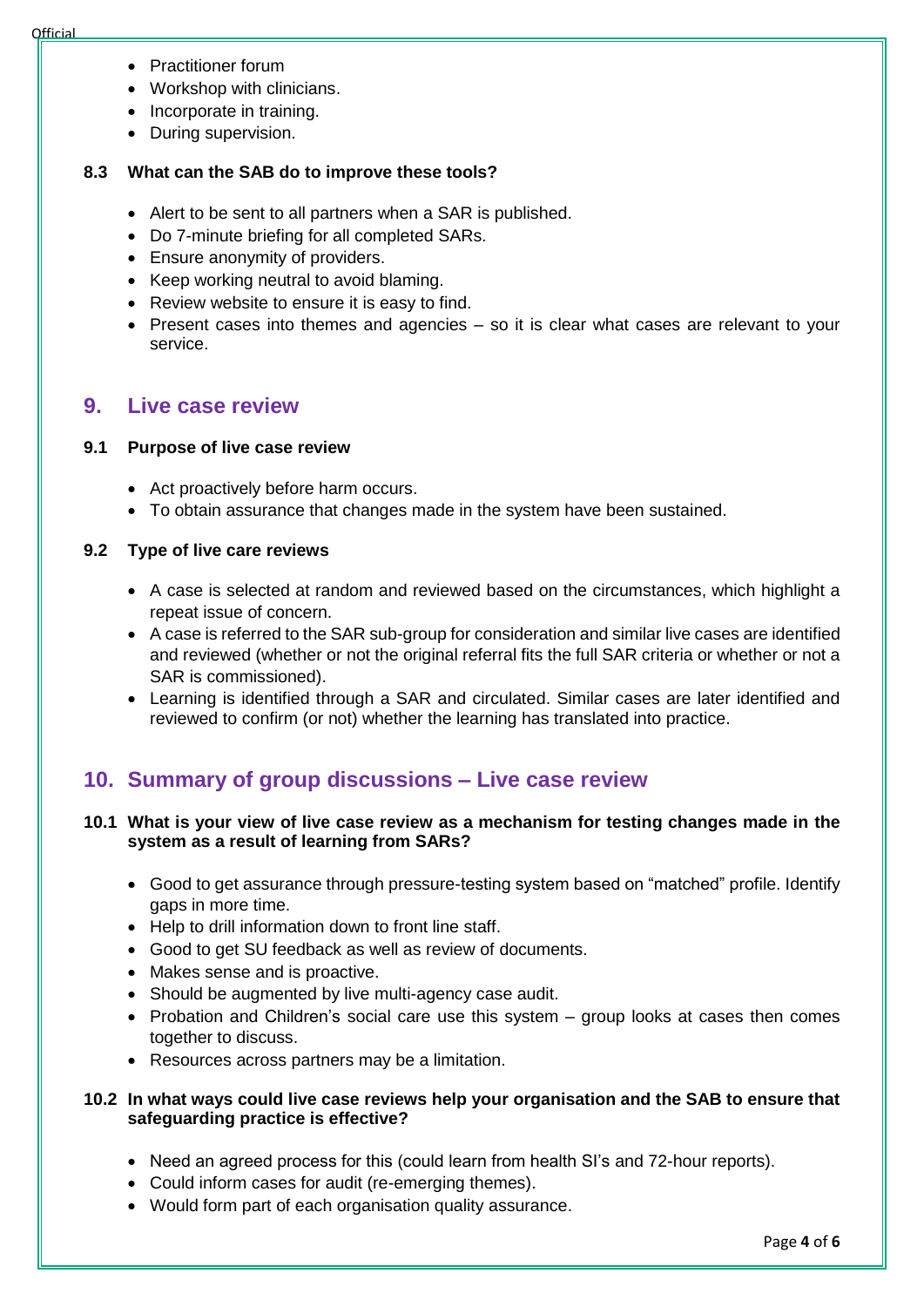- Practitioner forum
- Workshop with clinicians.
- Incorporate in training.
- During supervision.

#### **8.3 What can the SAB do to improve these tools?**

- Alert to be sent to all partners when a SAR is published.
- Do 7-minute briefing for all completed SARs.
- Ensure anonymity of providers.
- Keep working neutral to avoid blaming.
- Review website to ensure it is easy to find.
- Present cases into themes and agencies so it is clear what cases are relevant to your service.

### **9. Live case review**

#### **9.1 Purpose of live case review**

- Act proactively before harm occurs.
- To obtain assurance that changes made in the system have been sustained.

#### **9.2 Type of live care reviews**

- A case is selected at random and reviewed based on the circumstances, which highlight a repeat issue of concern.
- A case is referred to the SAR sub-group for consideration and similar live cases are identified and reviewed (whether or not the original referral fits the full SAR criteria or whether or not a SAR is commissioned).
- Learning is identified through a SAR and circulated. Similar cases are later identified and reviewed to confirm (or not) whether the learning has translated into practice.

# **10. Summary of group discussions – Live case review**

#### **10.1 What is your view of live case review as a mechanism for testing changes made in the system as a result of learning from SARs?**

- Good to get assurance through pressure-testing system based on "matched" profile. Identify gaps in more time.
- Help to drill information down to front line staff.
- Good to get SU feedback as well as review of documents.
- Makes sense and is proactive.
- Should be augmented by live multi-agency case audit.
- Probation and Children's social care use this system group looks at cases then comes together to discuss.
- Resources across partners may be a limitation.

#### **10.2 In what ways could live case reviews help your organisation and the SAB to ensure that safeguarding practice is effective?**

- Need an agreed process for this (could learn from health SI's and 72-hour reports).
- Could inform cases for audit (re-emerging themes).
- Would form part of each organisation quality assurance.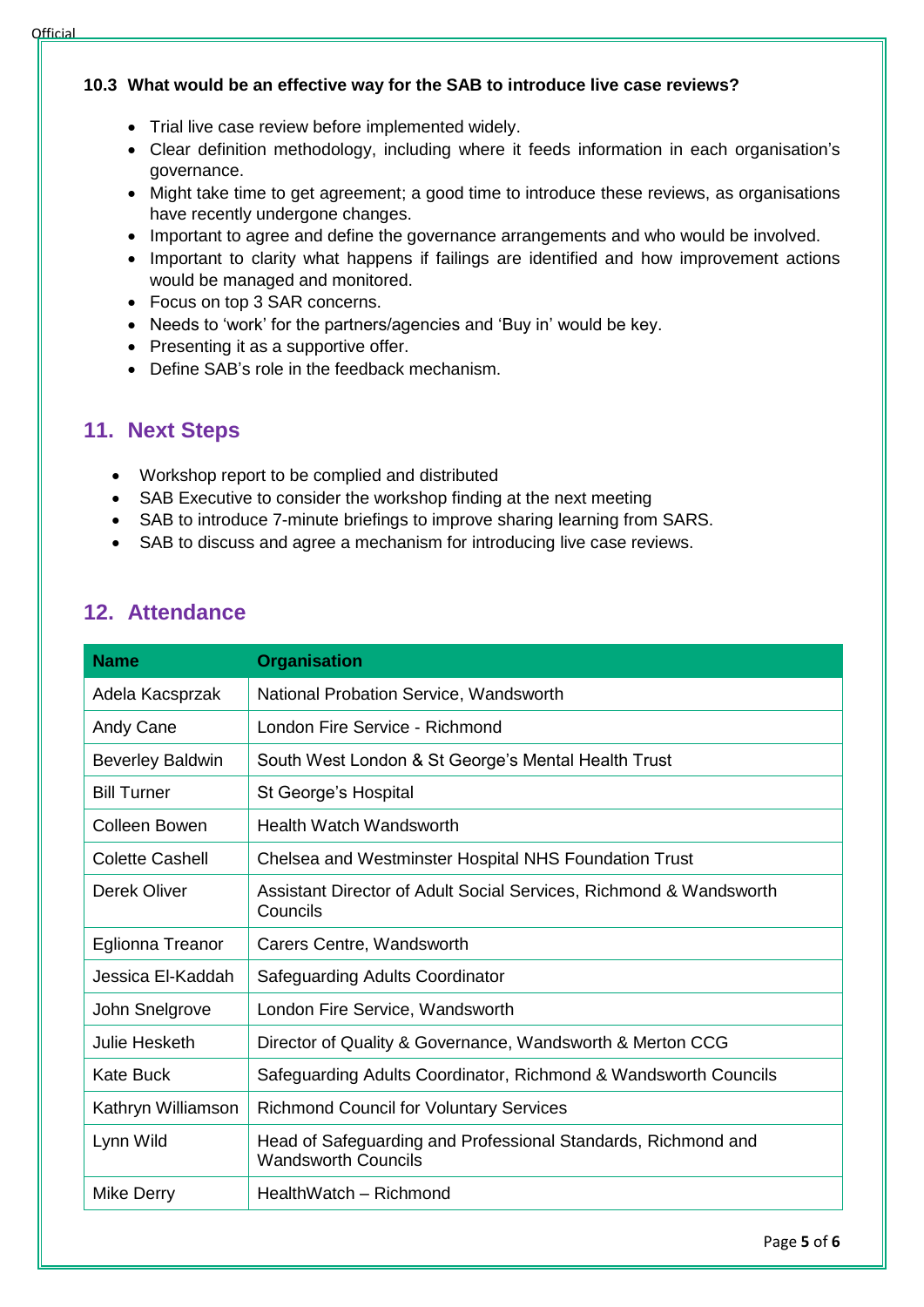#### **10.3 What would be an effective way for the SAB to introduce live case reviews?**

- Trial live case review before implemented widely.
- Clear definition methodology, including where it feeds information in each organisation's governance.
- Might take time to get agreement; a good time to introduce these reviews, as organisations have recently undergone changes.
- Important to agree and define the governance arrangements and who would be involved.
- Important to clarity what happens if failings are identified and how improvement actions would be managed and monitored.
- Focus on top 3 SAR concerns.
- Needs to 'work' for the partners/agencies and 'Buy in' would be key.
- Presenting it as a supportive offer.
- Define SAB's role in the feedback mechanism.

# **11. Next Steps**

- Workshop report to be complied and distributed
- SAB Executive to consider the workshop finding at the next meeting
- SAB to introduce 7-minute briefings to improve sharing learning from SARS.
- SAB to discuss and agree a mechanism for introducing live case reviews.

# **12. Attendance**

| <b>Name</b>             | <b>Organisation</b>                                                                         |
|-------------------------|---------------------------------------------------------------------------------------------|
| Adela Kacsprzak         | National Probation Service, Wandsworth                                                      |
| Andy Cane               | London Fire Service - Richmond                                                              |
| <b>Beverley Baldwin</b> | South West London & St George's Mental Health Trust                                         |
| <b>Bill Turner</b>      | St George's Hospital                                                                        |
| <b>Colleen Bowen</b>    | Health Watch Wandsworth                                                                     |
| <b>Colette Cashell</b>  | Chelsea and Westminster Hospital NHS Foundation Trust                                       |
| Derek Oliver            | Assistant Director of Adult Social Services, Richmond & Wandsworth<br>Councils              |
| Eglionna Treanor        | Carers Centre, Wandsworth                                                                   |
| Jessica El-Kaddah       | Safeguarding Adults Coordinator                                                             |
| John Snelgrove          | London Fire Service, Wandsworth                                                             |
| Julie Hesketh           | Director of Quality & Governance, Wandsworth & Merton CCG                                   |
| <b>Kate Buck</b>        | Safeguarding Adults Coordinator, Richmond & Wandsworth Councils                             |
| Kathryn Williamson      | <b>Richmond Council for Voluntary Services</b>                                              |
| Lynn Wild               | Head of Safeguarding and Professional Standards, Richmond and<br><b>Wandsworth Councils</b> |
| <b>Mike Derry</b>       | HealthWatch - Richmond                                                                      |